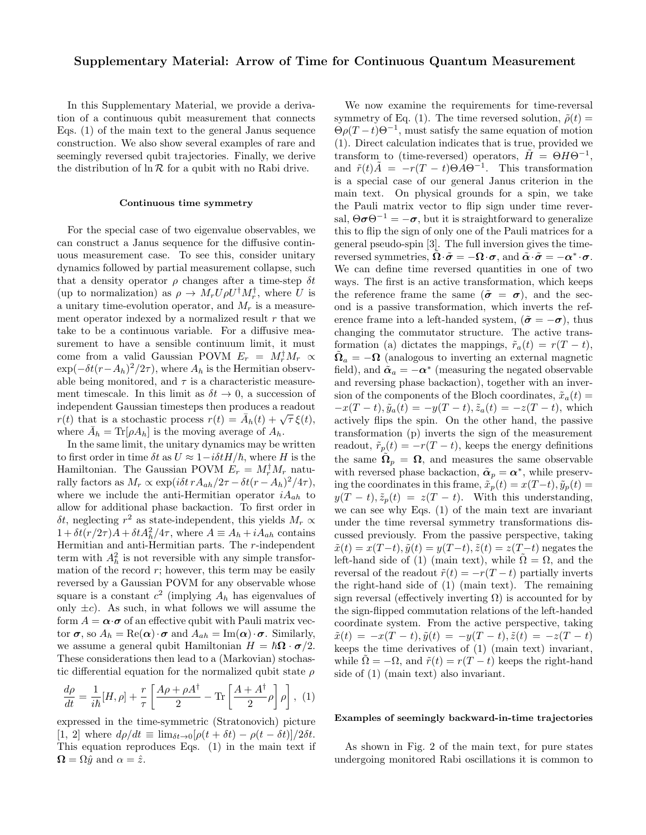## Supplementary Material: Arrow of Time for Continuous Quantum Measurement

In this Supplementary Material, we provide a derivation of a continuous qubit measurement that connects Eqs. (1) of the main text to the general Janus sequence construction. We also show several examples of rare and seemingly reversed qubit trajectories. Finally, we derive the distribution of  $\ln \mathcal{R}$  for a qubit with no Rabi drive.

## Continuous time symmetry

For the special case of two eigenvalue observables, we can construct a Janus sequence for the diffusive continuous measurement case. To see this, consider unitary dynamics followed by partial measurement collapse, such that a density operator  $\rho$  changes after a time-step  $\delta t$ (up to normalization) as  $\rho \to M_r U \rho U^{\dagger} M_r^{\dagger}$ , where U is a unitary time-evolution operator, and  $M_r$  is a measurement operator indexed by a normalized result  $r$  that we take to be a continuous variable. For a diffusive measurement to have a sensible continuum limit, it must come from a valid Gaussian POVM  $E_r = M_r^{\dagger} M_r \propto$  $\exp(-\delta t (r - A_h)^2 / 2\tau)$ , where  $A_h$  is the Hermitian observable being monitored, and  $\tau$  is a characteristic measurement timescale. In this limit as  $\delta t \to 0$ , a succession of independent Gaussian timesteps then produces a readout malgeriant chaussian timesteps then produces a readout  $r(t)$  that is a stochastic process  $r(t) = \bar{A}_h(t) + \sqrt{\tau} \xi(t)$ , where  $\bar{A}_h = \text{Tr}[\rho A_h]$  is the moving average of  $A_h$ .

In the same limit, the unitary dynamics may be written to first order in time  $\delta t$  as  $U \approx 1 - i \delta t H/\hbar$ , where H is the Hamiltonian. The Gaussian POVM  $E_r = M_r^{\dagger} M_r$  naturally factors as  $M_r \propto \exp(i\delta t \, r A_{ah}/2\tau - \delta t (r - A_h)^2/4\tau),$ where we include the anti-Hermitian operator  $iA_{ah}$  to allow for additional phase backaction. To first order in  $\delta t$ , neglecting  $r^2$  as state-independent, this yields  $M_r \propto$  $1 + \delta t (r/2\tau) A + \delta t A_h^2 / 4\tau$ , where  $A \equiv A_h + i A_{ah}$  contains Hermitian and anti-Hermitian parts. The r-independent term with  $A_h^2$  is not reversible with any simple transformation of the record  $r$ ; however, this term may be easily reversed by a Gaussian POVM for any observable whose square is a constant  $c^2$  (implying  $A_h$  has eigenvalues of only  $\pm c$ ). As such, in what follows we will assume the form  $A = \alpha \cdot \sigma$  of an effective qubit with Pauli matrix vector  $\sigma$ , so  $A_h = \text{Re}(\alpha) \cdot \sigma$  and  $A_{ah} = \text{Im}(\alpha) \cdot \sigma$ . Similarly, we assume a general qubit Hamiltonian  $H = \hbar \Omega \cdot \sigma/2$ . These considerations then lead to a (Markovian) stochastic differential equation for the normalized qubit state  $\rho$ 

$$
\frac{d\rho}{dt} = \frac{1}{i\hbar}[H,\rho] + \frac{r}{\tau} \left[ \frac{A\rho + \rho A^{\dagger}}{2} - \text{Tr}\left[ \frac{A + A^{\dagger}}{2} \rho \right] \rho \right], (1)
$$

expressed in the time-symmetric (Stratonovich) picture [1, 2] where  $d\rho/dt \equiv \lim_{\delta t \to 0} [\rho(t + \delta t) - \rho(t - \delta t)]/2\delta t$ . This equation reproduces Eqs. (1) in the main text if  $\mathbf{\Omega} = \Omega \hat{y}$  and  $\alpha = \hat{z}$ .

We now examine the requirements for time-reversal symmetry of Eq. (1). The time reversed solution,  $\tilde{\rho}(t)$  =  $\Theta \rho (T - t) \Theta^{-1}$ , must satisfy the same equation of motion (1). Direct calculation indicates that is true, provided we transform to (time-reversed) operators,  $\tilde{H} = \Theta H \Theta^{-1}$ , and  $\tilde{r}(t)\tilde{A} = -r(T - t)\Theta A \Theta^{-1}$ . This transformation is a special case of our general Janus criterion in the main text. On physical grounds for a spin, we take the Pauli matrix vector to flip sign under time reversal,  $\Theta \sigma \Theta^{-1} = -\sigma$ , but it is straightforward to generalize this to flip the sign of only one of the Pauli matrices for a general pseudo-spin [3]. The full inversion gives the timereversed symmetries,  $\tilde{\Omega} \cdot \tilde{\sigma} = -\Omega \cdot \sigma$ , and  $\tilde{\alpha} \cdot \tilde{\sigma} = -\alpha^* \cdot \sigma$ . We can define time reversed quantities in one of two ways. The first is an active transformation, which keeps the reference frame the same  $(\tilde{\sigma} = \sigma)$ , and the second is a passive transformation, which inverts the reference frame into a left-handed system,  $(\tilde{\sigma} = -\sigma)$ , thus changing the commutator structure. The active transformation (a) dictates the mappings,  $\tilde{r}_a(t) = r(T - t)$ ,  $\tilde{\Omega}_a = -\Omega$  (analogous to inverting an external magnetic field), and  $\tilde{\alpha}_a = -\alpha^*$  (measuring the negated observable and reversing phase backaction), together with an inversion of the components of the Bloch coordinates,  $\tilde{x}_a(t)$  =  $-x(T-t), \tilde{y}_a(t) = -y(T-t), \tilde{z}_a(t) = -z(T-t)$ , which actively flips the spin. On the other hand, the passive transformation (p) inverts the sign of the measurement readout,  $\tilde{r}_p(t) = -r(T - t)$ , keeps the energy definitions the same  $\tilde{\Omega}_p = \Omega$ , and measures the same observable with reversed phase backaction,  $\tilde{\boldsymbol{\alpha}}_p = \boldsymbol{\alpha}^*$ , while preserving the coordinates in this frame,  $\tilde{x}_p(t) = x(T-t)$ ,  $\tilde{y}_p(t) =$  $y(T - t), \tilde{z}_p(t) = z(T - t)$ . With this understanding, we can see why Eqs. (1) of the main text are invariant under the time reversal symmetry transformations discussed previously. From the passive perspective, taking  $\tilde{x}(t) = x(T-t), \tilde{y}(t) = y(T-t), \tilde{z}(t) = z(T-t)$  negates the left-hand side of (1) (main text), while  $\Omega = \Omega$ , and the reversal of the readout  $\tilde{r}(t) = -r(T - t)$  partially inverts the right-hand side of (1) (main text). The remaining sign reversal (effectively inverting  $\Omega$ ) is accounted for by the sign-flipped commutation relations of the left-handed coordinate system. From the active perspective, taking  $\tilde{x}(t) = -x(T - t), \tilde{y}(t) = -y(T - t), \tilde{z}(t) = -z(T - t)$ keeps the time derivatives of (1) (main text) invariant, while  $\tilde{\Omega} = -\Omega$ , and  $\tilde{r}(t) = r(T - t)$  keeps the right-hand side of (1) (main text) also invariant.

## Examples of seemingly backward-in-time trajectories

As shown in Fig. 2 of the main text, for pure states undergoing monitored Rabi oscillations it is common to